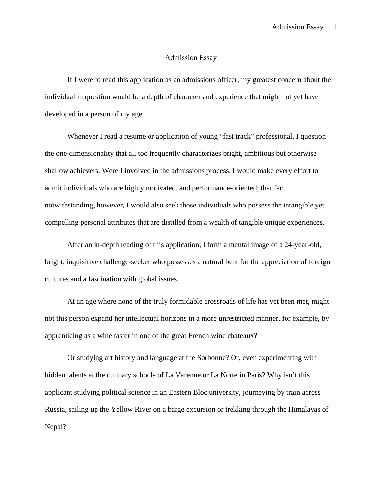## Admission Essay

If I were to read this application as an admissions officer, my greatest concern about the individual in question would be a depth of character and experience that might not yet have developed in a person of my age.

Whenever I read a resume or application of young "fast track" professional, I question the one-dimensionality that all too frequently characterizes bright, ambitious but otherwise shallow achievers. Were I involved in the admissions process, I would make every effort to admit individuals who are highly motivated, and performance-oriented; that fact notwithstanding, however, I would also seek those individuals who possess the intangible yet compelling personal attributes that are distilled from a wealth of tangible unique experiences.

After an in-depth reading of this application, I form a mental image of a 24-year-old, bright, inquisitive challenge-seeker who possesses a natural bent for the appreciation of foreign cultures and a fascination with global issues.

At an age where none of the truly formidable crossroads of life has yet been met, might not this person expand her intellectual horizons in a more unrestricted manner, for example, by apprenticing as a wine taster in one of the great French wine chateaux?

Or studying art history and language at the Sorbonne? Or, even experimenting with hidden talents at the culinary schools of La Varenne or La Norte in Paris? Why isn't this applicant studying political science in an Eastern Bloc university, journeying by train across Russia, sailing up the Yellow River on a barge excursion or trekking through the Himalayas of Nepal?